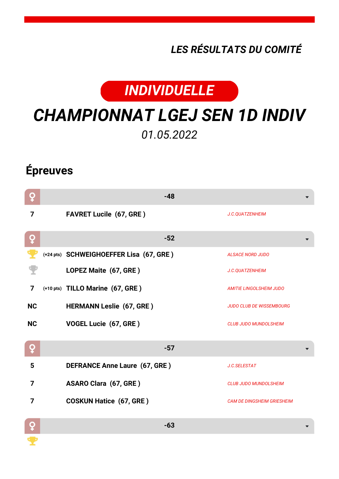## *LES RÉSULTATS DU COMITÉ*



## *CHAMPIONNAT LGEJ SEN 1D INDIV 01.05.2022*

## **Épreuves**

| Q         | $-48$                                   |                                   |
|-----------|-----------------------------------------|-----------------------------------|
| 7         | <b>FAVRET Lucile (67, GRE)</b>          | J.C.QUATZENHEIM                   |
| Q         | $-52$                                   |                                   |
|           | (+24 pts) SCHWEIGHOEFFER Lisa (67, GRE) | <b>ALSACE NORD JUDO</b>           |
|           | LOPEZ Maite (67, GRE)                   | J.C.QUATZENHEIM                   |
| 7         | (+10 pts) TILLO Marine (67, GRE)        | <b>AMITIE LINGOLSHEIM JUDO</b>    |
| <b>NC</b> | <b>HERMANN Leslie (67, GRE)</b>         | <b>JUDO CLUB DE WISSEMBOURG</b>   |
| <b>NC</b> | VOGEL Lucie (67, GRE)                   | <b>CLUB JUDO MUNDOLSHEIM</b>      |
| Q         | $-57$                                   |                                   |
| 5         | <b>DEFRANCE Anne Laure (67, GRE)</b>    | J.C.SELESTAT                      |
| 7         | <b>ASARO Clara (67, GRE)</b>            | <b>CLUB JUDO MUNDOLSHEIM</b>      |
| 7         | <b>COSKUN Hatice (67, GRE)</b>          | <b>CAM DE DINGSHEIM GRIESHEIM</b> |
| Q         | $-63$                                   |                                   |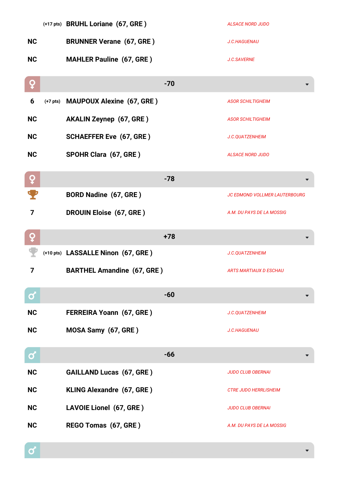|                   |            | (+17 pts) BRUHL Loriane (67, GRE)  | <b>ALSACE NORD JUDO</b>       |
|-------------------|------------|------------------------------------|-------------------------------|
| <b>NC</b>         |            | <b>BRUNNER Verane (67, GRE)</b>    | J.C.HAGUENAU                  |
| <b>NC</b>         |            | <b>MAHLER Pauline (67, GRE)</b>    | J.C.SAVERNE                   |
| ò                 |            | $-70$                              |                               |
| 6                 | $(+7$ pts) | <b>MAUPOUX Alexine (67, GRE)</b>   | <b>ASOR SCHILTIGHEIM</b>      |
| <b>NC</b>         |            | <b>AKALIN Zeynep (67, GRE)</b>     | <b>ASOR SCHILTIGHEIM</b>      |
| <b>NC</b>         |            | <b>SCHAEFFER Eve (67, GRE)</b>     | J.C.QUATZENHEIM               |
| <b>NC</b>         |            | SPOHR Clara (67, GRE)              | <b>ALSACE NORD JUDO</b>       |
| ò                 |            | $-78$                              |                               |
| т                 |            | <b>BORD Nadine (67, GRE)</b>       | JC EDMOND VOLLMER LAUTERBOURG |
| 7                 |            | <b>DROUIN Eloise (67, GRE)</b>     | A.M. DU PAYS DE LA MOSSIG     |
|                   |            |                                    |                               |
| ò                 |            | $+78$                              |                               |
|                   |            | (+10 pts) LASSALLE Ninon (67, GRE) | J.C.QUATZENHEIM               |
| 7                 |            | <b>BARTHEL Amandine (67, GRE)</b>  | <b>ARTS MARTIAUX D ESCHAU</b> |
| $\mathbf{\alpha}$ |            | $-60$                              |                               |
| <b>NC</b>         |            | <b>FERREIRA Yoann (67, GRE)</b>    | J.C.QUATZENHEIM               |
| <b>NC</b>         |            | MOSA Samy (67, GRE)                | J.C.HAGUENAU                  |
| $\mathbf{Q}$      |            | $-66$                              |                               |
| <b>NC</b>         |            | <b>GAILLAND Lucas (67, GRE)</b>    | <b>JUDO CLUB OBERNAI</b>      |
| <b>NC</b>         |            | KLING Alexandre (67, GRE)          | <b>CTRE JUDO HERRLISHEIM</b>  |
| <b>NC</b>         |            | LAVOIE Lionel (67, GRE)            | <b>JUDO CLUB OBERNAI</b>      |

 $\boxed{\mathbf{c}}$ 

 $\blacktriangledown$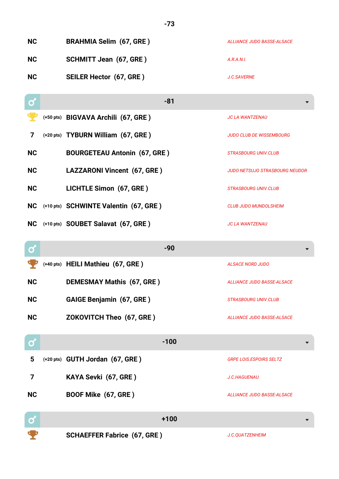| <b>NC</b>         | <b>BRAHMIA Selim (67, GRE)</b>        | ALLIANCE JUDO BASSE-ALSACE            |
|-------------------|---------------------------------------|---------------------------------------|
| <b>NC</b>         | <b>SCHMITT Jean (67, GRE)</b>         | A.R.A.N.I.                            |
| <b>NC</b>         | <b>SEILER Hector (67, GRE)</b>        | J.C.SAVERNE                           |
| $\mathbf{\alpha}$ | $-81$                                 |                                       |
|                   | (+50 pts) BIGVAVA Archili (67, GRE)   | <b>JC LA WANTZENAU</b>                |
| 7                 | (+20 pts) TYBURN William (67, GRE)    | <b>JUDO CLUB DE WISSEMBOURG</b>       |
| <b>NC</b>         | <b>BOURGETEAU Antonin (67, GRE)</b>   | <b>STRASBOURG UNIV.CLUB</b>           |
| <b>NC</b>         | LAZZARONI Vincent (67, GRE)           | <b>JUDO NETSUJO STRASBOURG NEUDOR</b> |
| <b>NC</b>         | LICHTLE Simon (67, GRE)               | <b>STRASBOURG UNIV.CLUB</b>           |
| <b>NC</b>         | (+10 pts) SCHWINTE Valentin (67, GRE) | <b>CLUB JUDO MUNDOLSHEIM</b>          |
| <b>NC</b>         | (+10 pts) SOUBET Salavat (67, GRE)    | <b>JC LA WANTZENAU</b>                |
|                   |                                       |                                       |
| σ                 | $-90$                                 |                                       |
|                   | (+40 pts) HEILI Mathieu (67, GRE)     | <b>ALSACE NORD JUDO</b>               |
| <b>NC</b>         | <b>DEMESMAY Mathis (67, GRE)</b>      | <b>ALLIANCE JUDO BASSE-ALSACE</b>     |
| <b>NC</b>         | <b>GAIGE Benjamin (67, GRE)</b>       | <b>STRASBOURG UNIV.CLUB</b>           |
| <b>NC</b>         | ZOKOVITCH Theo (67, GRE)              | <b>ALLIANCE JUDO BASSE-ALSACE</b>     |
| ර                 | $-100$                                |                                       |
| 5                 | (+20 pts) GUTH Jordan (67, GRE)       | <b>GRPE LOIS.ESPOIRS SELTZ</b>        |
| 7                 | KAYA Sevki (67, GRE)                  | <b>J.C.HAGUENAU</b>                   |
| <b>NC</b>         | BOOF Mike (67, GRE)                   | <b>ALLIANCE JUDO BASSE-ALSACE</b>     |
| Ø                 | $+100$                                |                                       |

**-73**